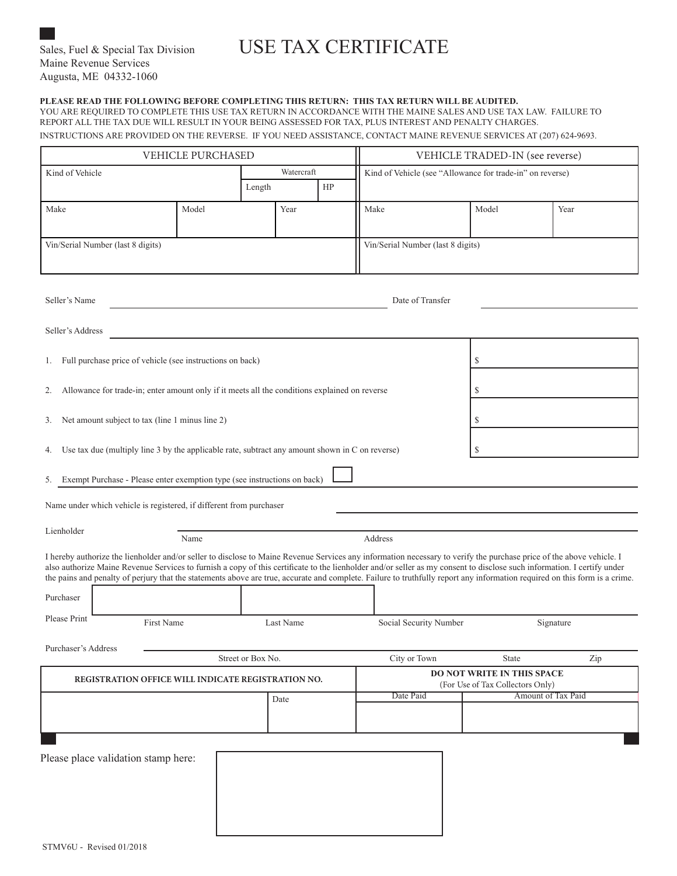# Sales, Fuel & Special Tax Division USE TAX CERTIFICATE

# **PLEASE READ THE FOLLOWING BEFORE COMPLETING THIS RETURN: THIS TAX RETURN WILL BE AUDITED.**

YOU ARE REQUIRED TO COMPLETE THIS USE TAX RETURN IN ACCORDANCE WITH THE MAINE SALES AND USE TAX LAW. FAILURE TO REPORT ALL THE TAX DUE WILL RESULT IN YOUR BEING ASSESSED FOR TAX, PLUS INTEREST AND PENALTY CHARGES. INSTRUCTIONS ARE PROVIDED ON THE REVERSE. IF YOU NEED ASSISTANCE, CONTACT MAINE REVENUE SERVICES AT (207) 624-9693.

| <b>VEHICLE PURCHASED</b>                                                                                                                                                                                                                                                                                                                                                                                                                                                                                                                   |       |              |           |  |                                                                       | VEHICLE TRADED-IN (see reverse) |  |       |                    |  |  |
|--------------------------------------------------------------------------------------------------------------------------------------------------------------------------------------------------------------------------------------------------------------------------------------------------------------------------------------------------------------------------------------------------------------------------------------------------------------------------------------------------------------------------------------------|-------|--------------|-----------|--|-----------------------------------------------------------------------|---------------------------------|--|-------|--------------------|--|--|
| Kind of Vehicle                                                                                                                                                                                                                                                                                                                                                                                                                                                                                                                            |       | Watercraft   |           |  | Kind of Vehicle (see "Allowance for trade-in" on reverse)             |                                 |  |       |                    |  |  |
|                                                                                                                                                                                                                                                                                                                                                                                                                                                                                                                                            |       | HP<br>Length |           |  |                                                                       |                                 |  |       |                    |  |  |
| Make                                                                                                                                                                                                                                                                                                                                                                                                                                                                                                                                       | Model |              | Year      |  |                                                                       | Make                            |  | Model | Year               |  |  |
| Vin/Serial Number (last 8 digits)                                                                                                                                                                                                                                                                                                                                                                                                                                                                                                          |       |              |           |  | Vin/Serial Number (last 8 digits)                                     |                                 |  |       |                    |  |  |
| Seller's Name<br>Date of Transfer                                                                                                                                                                                                                                                                                                                                                                                                                                                                                                          |       |              |           |  |                                                                       |                                 |  |       |                    |  |  |
| Seller's Address                                                                                                                                                                                                                                                                                                                                                                                                                                                                                                                           |       |              |           |  |                                                                       |                                 |  |       |                    |  |  |
| Full purchase price of vehicle (see instructions on back)<br>1.                                                                                                                                                                                                                                                                                                                                                                                                                                                                            |       |              |           |  |                                                                       | \$                              |  |       |                    |  |  |
| Allowance for trade-in; enter amount only if it meets all the conditions explained on reverse<br>S<br>2.                                                                                                                                                                                                                                                                                                                                                                                                                                   |       |              |           |  |                                                                       |                                 |  |       |                    |  |  |
| Net amount subject to tax (line 1 minus line 2)<br>S<br>3.                                                                                                                                                                                                                                                                                                                                                                                                                                                                                 |       |              |           |  |                                                                       |                                 |  |       |                    |  |  |
| Use tax due (multiply line 3 by the applicable rate, subtract any amount shown in C on reverse)<br>\$<br>4.                                                                                                                                                                                                                                                                                                                                                                                                                                |       |              |           |  |                                                                       |                                 |  |       |                    |  |  |
| Exempt Purchase - Please enter exemption type (see instructions on back)<br>5.                                                                                                                                                                                                                                                                                                                                                                                                                                                             |       |              |           |  |                                                                       |                                 |  |       |                    |  |  |
| Name under which vehicle is registered, if different from purchaser                                                                                                                                                                                                                                                                                                                                                                                                                                                                        |       |              |           |  |                                                                       |                                 |  |       |                    |  |  |
| Lienholder<br>Address<br>Name                                                                                                                                                                                                                                                                                                                                                                                                                                                                                                              |       |              |           |  |                                                                       |                                 |  |       |                    |  |  |
| I hereby authorize the lienholder and/or seller to disclose to Maine Revenue Services any information necessary to verify the purchase price of the above vehicle. I<br>also authorize Maine Revenue Services to furnish a copy of this certificate to the lienholder and/or seller as my consent to disclose such information. I certify under<br>the pains and penalty of perjury that the statements above are true, accurate and complete. Failure to truthfully report any information required on this form is a crime.<br>Purchaser |       |              |           |  |                                                                       |                                 |  |       |                    |  |  |
| Please Print<br>First Name                                                                                                                                                                                                                                                                                                                                                                                                                                                                                                                 |       |              | Last Name |  |                                                                       | Social Security Number          |  |       | Signature          |  |  |
| Purchaser's Address                                                                                                                                                                                                                                                                                                                                                                                                                                                                                                                        |       |              |           |  |                                                                       |                                 |  |       |                    |  |  |
| Street or Box No.                                                                                                                                                                                                                                                                                                                                                                                                                                                                                                                          |       |              |           |  | City or Town<br>State<br>Zip                                          |                                 |  |       |                    |  |  |
| REGISTRATION OFFICE WILL INDICATE REGISTRATION NO.                                                                                                                                                                                                                                                                                                                                                                                                                                                                                         |       |              |           |  | <b>DO NOT WRITE IN THIS SPACE</b><br>(For Use of Tax Collectors Only) |                                 |  |       |                    |  |  |
| Date                                                                                                                                                                                                                                                                                                                                                                                                                                                                                                                                       |       |              |           |  |                                                                       | Date Paid                       |  |       | Amount of Tax Paid |  |  |
|                                                                                                                                                                                                                                                                                                                                                                                                                                                                                                                                            |       |              |           |  |                                                                       |                                 |  |       |                    |  |  |
| Please place validation stamp here:                                                                                                                                                                                                                                                                                                                                                                                                                                                                                                        |       |              |           |  |                                                                       |                                 |  |       |                    |  |  |